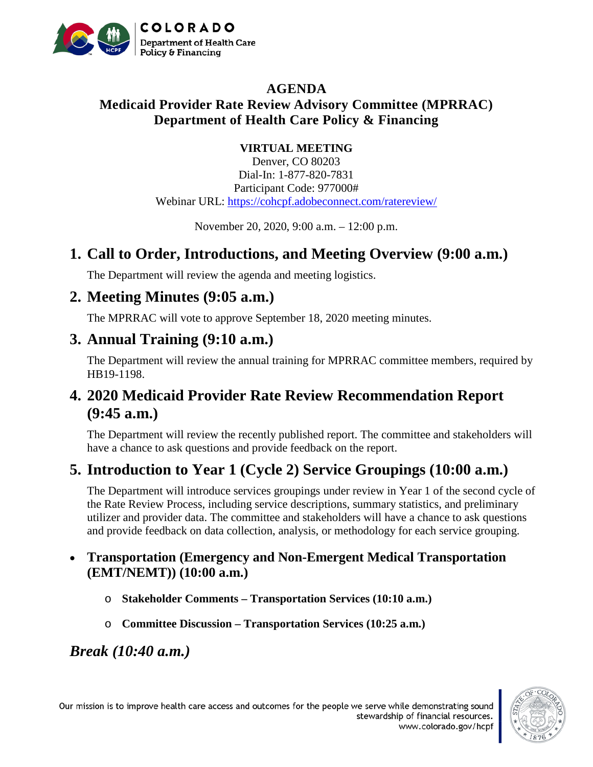

### **AGENDA Medicaid Provider Rate Review Advisory Committee (MPRRAC) Department of Health Care Policy & Financing**

#### **VIRTUAL MEETING**

Denver, CO 80203 Dial-In: 1-877-820-7831 Participant Code: 977000# Webinar URL:<https://cohcpf.adobeconnect.com/ratereview/>

November 20, 2020, 9:00 a.m. – 12:00 p.m.

## **1. Call to Order, Introductions, and Meeting Overview (9:00 a.m.)**

The Department will review the agenda and meeting logistics.

## **2. Meeting Minutes (9:05 a.m.)**

The MPRRAC will vote to approve September 18, 2020 meeting minutes.

### **3. Annual Training (9:10 a.m.)**

The Department will review the annual training for MPRRAC committee members, required by HB19-1198.

## **4. 2020 Medicaid Provider Rate Review Recommendation Report (9:45 a.m.)**

The Department will review the recently published report. The committee and stakeholders will have a chance to ask questions and provide feedback on the report.

## **5. Introduction to Year 1 (Cycle 2) Service Groupings (10:00 a.m.)**

The Department will introduce services groupings under review in Year 1 of the second cycle of the Rate Review Process, including service descriptions, summary statistics, and preliminary utilizer and provider data. The committee and stakeholders will have a chance to ask questions and provide feedback on data collection, analysis, or methodology for each service grouping.

#### • **Transportation (Emergency and Non-Emergent Medical Transportation (EMT/NEMT)) (10:00 a.m.)**

- o **Stakeholder Comments – Transportation Services (10:10 a.m.)**
- o **Committee Discussion – Transportation Services (10:25 a.m.)**

*Break (10:40 a.m.)*